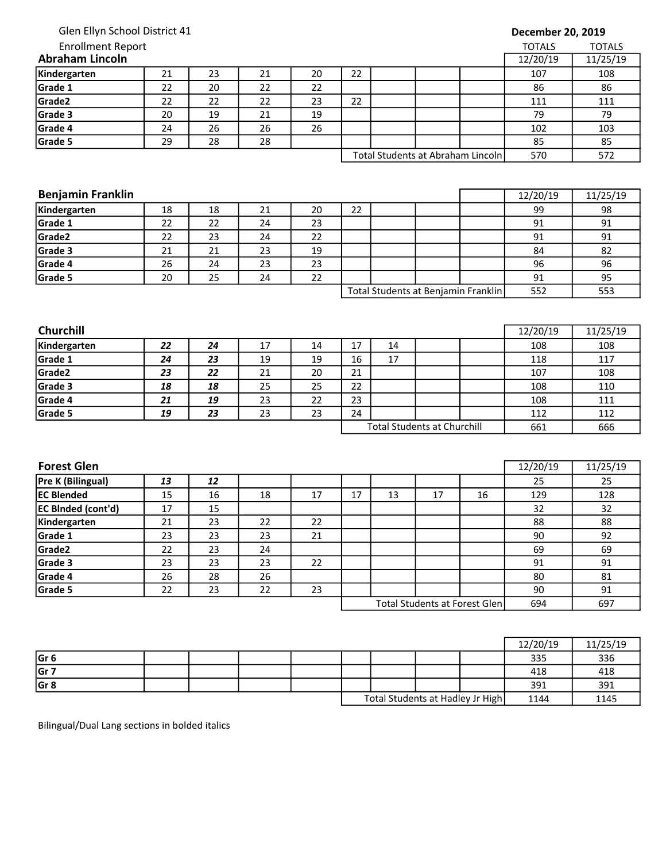| Glen Ellyn School District 41 |
|-------------------------------|
|-------------------------------|

## Enrollment Report

## December 20, 2019

| <b>Enrollment Report</b> |                                   |          |    |    |     |     |  |  | TOTALS | <b>TOTALS</b> |
|--------------------------|-----------------------------------|----------|----|----|-----|-----|--|--|--------|---------------|
| <b>Abraham Lincoln</b>   | 12/20/19                          | 11/25/19 |    |    |     |     |  |  |        |               |
| Kindergarten             | 21                                | 23       | 21 | 20 | 22  |     |  |  | 107    | 108           |
| Grade 1                  | 22                                | 20       | 22 | 22 |     |     |  |  | 86     | 86            |
| Grade <sub>2</sub>       | 22                                | 22       | 22 | 23 | 22  |     |  |  | 111    | 111           |
| Grade 3                  | 20                                | 19       | 21 | 19 |     |     |  |  | 79     | 79            |
| Grade 4                  | 24                                | 26       | 26 | 26 |     |     |  |  | 102    | 103           |
| Grade 5                  | 29                                | 28       | 28 |    |     |     |  |  | 85     | 85            |
|                          | Total Students at Abraham Lincoln |          |    |    | 570 | 572 |  |  |        |               |

| <b>Benjamin Franklin</b> | 12/20/19 | 11/25/19 |    |    |    |                                     |     |     |
|--------------------------|----------|----------|----|----|----|-------------------------------------|-----|-----|
| Kindergarten             | 18       | 18       | 21 | 20 | 22 |                                     | 99  | 98  |
| Grade 1                  | 22       | 22       | 24 | 23 |    |                                     | 91  | 91  |
| Grade <sub>2</sub>       | 22       | 23       | 24 | 22 |    |                                     | 91  | 91  |
| Grade 3                  | 21       | 21       | 23 | 19 |    |                                     | 84  | 82  |
| Grade 4                  | 26       | 24       | 23 | 23 |    |                                     | 96  | 96  |
| Grade 5                  | 20       | 25       | 24 | 22 |    |                                     | 91  | 95  |
|                          |          |          |    |    |    | Total Students at Benjamin Franklin | 552 | 553 |

| <b>Churchill</b>   |    |    |    |    |                                    |    |  |  | 12/20/19 | 11/25/19 |
|--------------------|----|----|----|----|------------------------------------|----|--|--|----------|----------|
| Kindergarten       | 22 | 24 | 17 | 14 | 17                                 | 14 |  |  | 108      | 108      |
| Grade 1            | 24 | 23 | 19 | 19 | 16                                 | 17 |  |  | 118      | 117      |
| Grade <sub>2</sub> | 23 | 22 | 21 | 20 | 21                                 |    |  |  | 107      | 108      |
| Grade 3            | 18 | 18 | 25 | 25 | 22                                 |    |  |  | 108      | 110      |
| Grade 4            | 21 | 19 | 23 | 22 | 23                                 |    |  |  | 108      | 111      |
| Grade 5            | 19 | 23 | 23 | 23 | 24                                 |    |  |  | 112      | 112      |
|                    |    |    |    |    | <b>Total Students at Churchill</b> |    |  |  | 661      | 666      |

| <b>Forest Glen</b>        |    |    |    |    |    |    |                               |     | 12/20/19 | 11/25/19 |
|---------------------------|----|----|----|----|----|----|-------------------------------|-----|----------|----------|
| Pre K (Bilingual)         | 13 | 12 |    |    |    |    |                               |     | 25       | 25       |
| <b>IEC Blended</b>        | 15 | 16 | 18 | 17 | 17 | 13 | 17                            | 16  | 129      | 128      |
| <b>EC BInded (cont'd)</b> | 17 | 15 |    |    |    |    |                               |     | 32       | 32       |
| Kindergarten              | 21 | 23 | 22 | 22 |    |    |                               |     | 88       | 88       |
| Grade 1                   | 23 | 23 | 23 | 21 |    |    |                               |     | 90       | 92       |
| Grade2                    | 22 | 23 | 24 |    |    |    |                               |     | 69       | 69       |
| Grade 3                   | 23 | 23 | 23 | 22 |    |    |                               |     | 91       | 91       |
| Grade 4                   | 26 | 28 | 26 |    |    |    |                               |     | 80       | 81       |
| Grade 5                   | 22 | 23 | 22 | 23 |    |    |                               |     | 90       | 91       |
|                           |    |    |    |    |    |    | Total Students at Forest Glen | 694 | 697      |          |

|                 |  |  |  |                                  | 12/20/19 | 11/25/19 |
|-----------------|--|--|--|----------------------------------|----------|----------|
| Gr <sub>6</sub> |  |  |  |                                  | 335      | 336      |
| Gr 7            |  |  |  |                                  | 418      | 418      |
| Gr <sub>8</sub> |  |  |  |                                  | 391      | 391      |
|                 |  |  |  | Total Students at Hadley Jr High | 1144     | 1145     |

Bilingual/Dual Lang sections in bolded italics